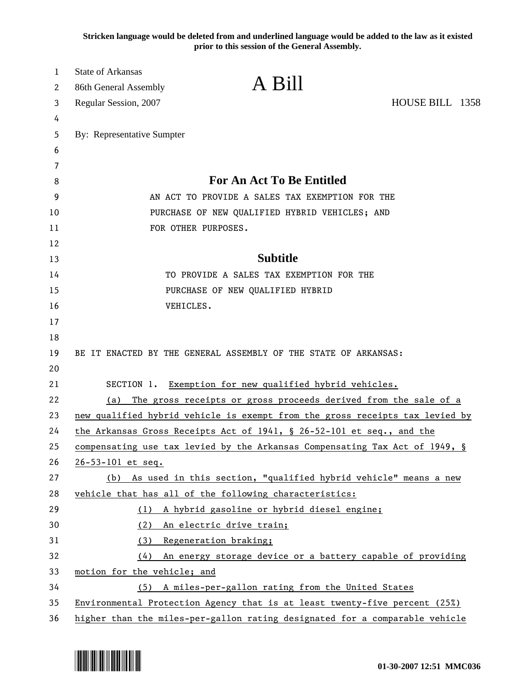**Stricken language would be deleted from and underlined language would be added to the law as it existed prior to this session of the General Assembly.**

| 1<br>2 | <b>State of Arkansas</b><br>86th General Assembly                           | A Bill                                                                       |                 |
|--------|-----------------------------------------------------------------------------|------------------------------------------------------------------------------|-----------------|
| 3      | Regular Session, 2007                                                       |                                                                              | HOUSE BILL 1358 |
| 4      |                                                                             |                                                                              |                 |
| 5      | By: Representative Sumpter                                                  |                                                                              |                 |
| 6      |                                                                             |                                                                              |                 |
| 7      |                                                                             |                                                                              |                 |
| 8      |                                                                             | For An Act To Be Entitled                                                    |                 |
| 9      | AN ACT TO PROVIDE A SALES TAX EXEMPTION FOR THE                             |                                                                              |                 |
| 10     | PURCHASE OF NEW QUALIFIED HYBRID VEHICLES; AND                              |                                                                              |                 |
| 11     | FOR OTHER PURPOSES.                                                         |                                                                              |                 |
| 12     |                                                                             |                                                                              |                 |
| 13     |                                                                             | <b>Subtitle</b>                                                              |                 |
| 14     |                                                                             | TO PROVIDE A SALES TAX EXEMPTION FOR THE                                     |                 |
| 15     |                                                                             | PURCHASE OF NEW QUALIFIED HYBRID                                             |                 |
| 16     | VEHICLES.                                                                   |                                                                              |                 |
| 17     |                                                                             |                                                                              |                 |
| 18     |                                                                             |                                                                              |                 |
| 19     |                                                                             | BE IT ENACTED BY THE GENERAL ASSEMBLY OF THE STATE OF ARKANSAS:              |                 |
| 20     |                                                                             |                                                                              |                 |
| 21     |                                                                             | SECTION 1. Exemption for new qualified hybrid vehicles.                      |                 |
| 22     | (a)                                                                         | The gross receipts or gross proceeds derived from the sale of a              |                 |
| 23     |                                                                             | new qualified hybrid vehicle is exempt from the gross receipts tax levied by |                 |
| 24     |                                                                             | the Arkansas Gross Receipts Act of 1941, § 26-52-101 et seq., and the        |                 |
| 25     |                                                                             | compensating use tax levied by the Arkansas Compensating Tax Act of 1949, §  |                 |
| 26     | 26-53-101 et seq.                                                           |                                                                              |                 |
| 27     | (b)                                                                         | As used in this section, "qualified hybrid vehicle" means a new              |                 |
| 28     |                                                                             | vehicle that has all of the following characteristics:                       |                 |
| 29     |                                                                             | (1) A hybrid gasoline or hybrid diesel engine;                               |                 |
| 30     |                                                                             | (2) An electric drive train;                                                 |                 |
| 31     |                                                                             | (3) Regeneration braking;                                                    |                 |
| 32     | (4)                                                                         | An energy storage device or a battery capable of providing                   |                 |
| 33     | motion for the vehicle; and                                                 |                                                                              |                 |
| 34     |                                                                             | (5) A miles-per-gallon rating from the United States                         |                 |
| 35     | Environmental Protection Agency that is at least twenty-five percent (25%)  |                                                                              |                 |
| 36     | higher than the miles-per-gallon rating designated for a comparable vehicle |                                                                              |                 |